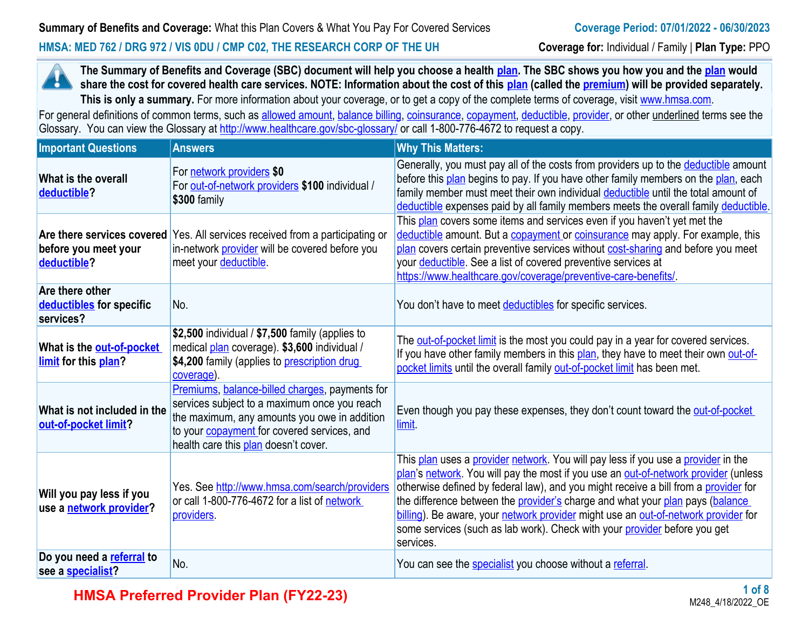## **HMSA: MED 762 / DRG 972 / VIS 0DU / CMP C02, THE RESEARCH CORP OF THE UH Coverage for:** Individual / Family | **Plan Type:** PPO



**The Summary of Benefits and Coverage (SBC) document will help you choose a health [plan.](https://www.healthcare.gov/sbc-glossary/#plan) The SBC shows you how you and the [plan](https://www.healthcare.gov/sbc-glossary/#plan) would share the cost for covered health care services. NOTE: Information about the cost of this <b>plan** (called the **premium**) will be provided separately. This is only a summary. For more information about your coverage, or to get a copy of the complete terms of coverage, visit [www.hmsa.com](http://www.hmsa.com/).

For general definitions of common terms, such as [allowed amount](https://www.healthcare.gov/sbc-glossary/#allowed-amount), [balance billing,](https://www.healthcare.gov/sbc-glossary/#balance-billing) [coinsurance,](https://www.healthcare.gov/sbc-glossary/#coinsurance) [copayment](https://www.healthcare.gov/sbc-glossary/#copayment), [deductible](https://www.healthcare.gov/sbc-glossary/#deductible), [provider,](https://www.healthcare.gov/sbc-glossary/#provider) or other underlined terms see the Glossary. You can view the Glossary at <http://www.healthcare.gov/sbc-glossary/> or call 1-800-776-4672 to request a copy.

| <b>Important Questions</b>                               | <b>Answers</b>                                                                                                                                                                                                                               | <b>Why This Matters:</b>                                                                                                                                                                                                                                                                                                                                                                                                                                                                                                         |
|----------------------------------------------------------|----------------------------------------------------------------------------------------------------------------------------------------------------------------------------------------------------------------------------------------------|----------------------------------------------------------------------------------------------------------------------------------------------------------------------------------------------------------------------------------------------------------------------------------------------------------------------------------------------------------------------------------------------------------------------------------------------------------------------------------------------------------------------------------|
| What is the overall<br>deductible?                       | For network providers \$0<br>For out-of-network providers \$100 individual /<br>\$300 family                                                                                                                                                 | Generally, you must pay all of the costs from providers up to the deductible amount<br>before this plan begins to pay. If you have other family members on the plan, each<br>family member must meet their own individual deductible until the total amount of<br>deductible expenses paid by all family members meets the overall family deductible.                                                                                                                                                                            |
| before you meet your<br>deductible?                      | Are there services covered Yes. All services received from a participating or<br>in-network provider will be covered before you<br>meet your deductible                                                                                      | This plan covers some items and services even if you haven't yet met the<br>deductible amount. But a copayment or coinsurance may apply. For example, this<br>plan covers certain preventive services without cost-sharing and before you meet<br>your <b>deductible</b> . See a list of covered preventive services at<br>https://www.healthcare.gov/coverage/preventive-care-benefits/.                                                                                                                                        |
| Are there other<br>deductibles for specific<br>services? | No.                                                                                                                                                                                                                                          | You don't have to meet deductibles for specific services.                                                                                                                                                                                                                                                                                                                                                                                                                                                                        |
| What is the out-of-pocket<br>limit for this plan?        | \$2,500 individual / \$7,500 family (applies to<br>medical plan coverage). \$3,600 individual /<br>\$4,200 family (applies to prescription drug<br>coverage).                                                                                | The <b>out-of-pocket limit</b> is the most you could pay in a year for covered services.<br>If you have other family members in this plan, they have to meet their own out-of-<br>pocket limits until the overall family out-of-pocket limit has been met.                                                                                                                                                                                                                                                                       |
| What is not included in the<br>out-of-pocket limit?      | Premiums, balance-billed charges, payments for<br>services subject to a maximum once you reach<br>the maximum, any amounts you owe in addition<br>to your <b>copayment</b> for covered services, and<br>health care this plan doesn't cover. | Even though you pay these expenses, they don't count toward the out-of-pocket<br>limit.                                                                                                                                                                                                                                                                                                                                                                                                                                          |
| Will you pay less if you<br>use a network provider?      | Yes. See http://www.hmsa.com/search/providers<br>or call 1-800-776-4672 for a list of network<br>providers.                                                                                                                                  | This plan uses a provider network. You will pay less if you use a provider in the<br>plan's network. You will pay the most if you use an out-of-network provider (unless<br>otherwise defined by federal law), and you might receive a bill from a provider for<br>the difference between the provider's charge and what your plan pays (balance<br>billing). Be aware, your network provider might use an out-of-network provider for<br>some services (such as lab work). Check with your provider before you get<br>services. |
| Do you need a referral to<br>see a <b>specialist?</b>    | No.                                                                                                                                                                                                                                          | You can see the <b>specialist</b> you choose without a referral.                                                                                                                                                                                                                                                                                                                                                                                                                                                                 |

**HMSA Preferred Provider Plan (FY22-23)**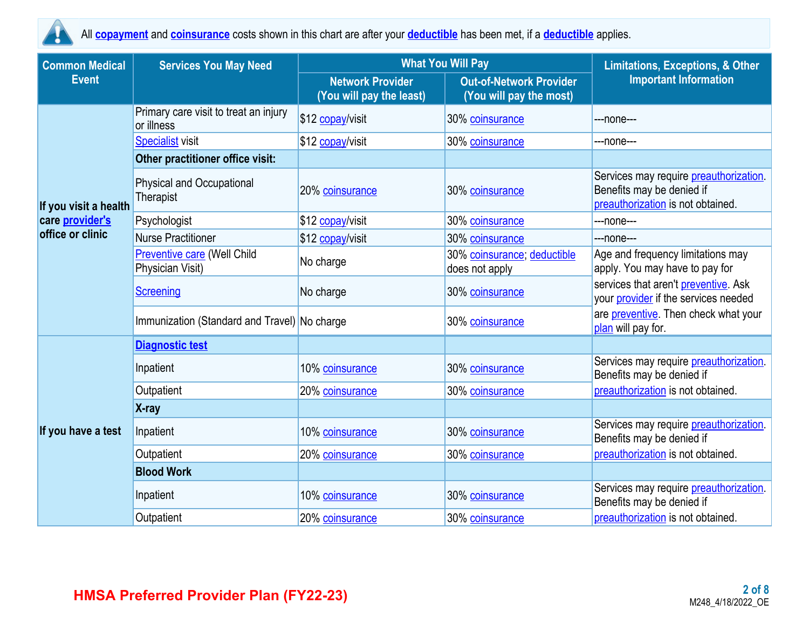

All **copayment** and **coinsurance** costs shown in this chart are after your **deductible** has been met, if a **deductible** applies.

| <b>Common Medical</b> | <b>Services You May Need</b>                           | <b>What You Will Pay</b>                            | <b>Limitations, Exceptions, &amp; Other</b>               |                                                                                                                  |  |
|-----------------------|--------------------------------------------------------|-----------------------------------------------------|-----------------------------------------------------------|------------------------------------------------------------------------------------------------------------------|--|
| <b>Event</b>          |                                                        | <b>Network Provider</b><br>(You will pay the least) | <b>Out-of-Network Provider</b><br>(You will pay the most) | <b>Important Information</b>                                                                                     |  |
|                       | Primary care visit to treat an injury<br>or illness    | \$12 copay/visit                                    | 30% coinsurance                                           | ---none---                                                                                                       |  |
|                       | <b>Specialist</b> visit                                | \$12 copay/visit                                    | 30% coinsurance                                           | ---none---                                                                                                       |  |
|                       | Other practitioner office visit:                       |                                                     |                                                           |                                                                                                                  |  |
| If you visit a health | <b>Physical and Occupational</b><br>Therapist          | 20% coinsurance                                     | 30% coinsurance                                           | Services may require <i>preauthorization</i> .<br>Benefits may be denied if<br>preauthorization is not obtained. |  |
| care provider's       | Psychologist                                           | \$12 copay/visit                                    | 30% coinsurance                                           | ---none---                                                                                                       |  |
| office or clinic      | <b>Nurse Practitioner</b>                              | \$12 copay/visit                                    | 30% coinsurance                                           | ---none---                                                                                                       |  |
|                       | <b>Preventive care (Well Child</b><br>Physician Visit) | No charge                                           | 30% coinsurance; deductible<br>does not apply             | Age and frequency limitations may<br>apply. You may have to pay for                                              |  |
|                       | Screening                                              | No charge                                           | 30% coinsurance                                           | services that aren't preventive. Ask<br>your provider if the services needed                                     |  |
|                       | Immunization (Standard and Travel) No charge           |                                                     | 30% coinsurance                                           | are preventive. Then check what your<br>plan will pay for.                                                       |  |
|                       | <b>Diagnostic test</b>                                 |                                                     |                                                           |                                                                                                                  |  |
|                       | Inpatient                                              | 10% coinsurance                                     | 30% coinsurance                                           | Services may require preauthorization.<br>Benefits may be denied if                                              |  |
|                       | Outpatient                                             | 20% coinsurance                                     | 30% coinsurance                                           | preauthorization is not obtained.                                                                                |  |
|                       | X-ray                                                  |                                                     |                                                           |                                                                                                                  |  |
| If you have a test    | Inpatient                                              | 10% coinsurance                                     | 30% coinsurance                                           | Services may require preauthorization.<br>Benefits may be denied if                                              |  |
|                       | Outpatient                                             | 20% coinsurance                                     | 30% coinsurance                                           | preauthorization is not obtained.                                                                                |  |
|                       | <b>Blood Work</b>                                      |                                                     |                                                           |                                                                                                                  |  |
|                       | Inpatient                                              | 10% coinsurance                                     | 30% coinsurance                                           | Services may require preauthorization.<br>Benefits may be denied if                                              |  |
|                       | Outpatient                                             | 20% coinsurance                                     | 30% coinsurance                                           | preauthorization is not obtained.                                                                                |  |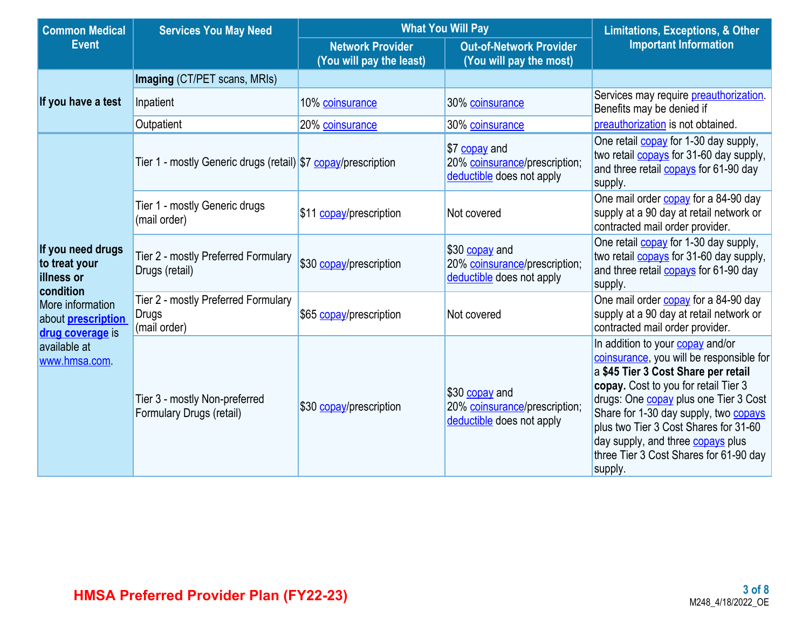| <b>Common Medical</b><br><b>Services You May Need</b>                |                                                                     | <b>What You Will Pay</b>                            | <b>Limitations, Exceptions, &amp; Other</b>                                  |                                                                                                                                                                                                                                                                                                                                                                                                |
|----------------------------------------------------------------------|---------------------------------------------------------------------|-----------------------------------------------------|------------------------------------------------------------------------------|------------------------------------------------------------------------------------------------------------------------------------------------------------------------------------------------------------------------------------------------------------------------------------------------------------------------------------------------------------------------------------------------|
| <b>Event</b>                                                         |                                                                     | <b>Network Provider</b><br>(You will pay the least) | <b>Out-of-Network Provider</b><br>(You will pay the most)                    | <b>Important Information</b>                                                                                                                                                                                                                                                                                                                                                                   |
|                                                                      | Imaging (CT/PET scans, MRIs)                                        |                                                     |                                                                              |                                                                                                                                                                                                                                                                                                                                                                                                |
| If you have a test                                                   | Inpatient                                                           | 10% coinsurance                                     | 30% coinsurance                                                              | Services may require preauthorization.<br>Benefits may be denied if                                                                                                                                                                                                                                                                                                                            |
|                                                                      | Outpatient                                                          | 20% coinsurance                                     | 30% coinsurance                                                              | preauthorization is not obtained.                                                                                                                                                                                                                                                                                                                                                              |
|                                                                      | Tier 1 - mostly Generic drugs (retail) \$7 copay/prescription       |                                                     | \$7 copay and<br>20% coinsurance/prescription;<br>deductible does not apply  | One retail <b>copay</b> for 1-30 day supply,<br>two retail <b>copays</b> for 31-60 day supply,<br>and three retail <b>copays</b> for 61-90 day<br>supply.                                                                                                                                                                                                                                      |
|                                                                      | Tier 1 - mostly Generic drugs<br>(mail order)                       | \$11 copay/prescription                             | Not covered                                                                  | One mail order copay for a 84-90 day<br>supply at a 90 day at retail network or<br>contracted mail order provider.                                                                                                                                                                                                                                                                             |
| If you need drugs<br>to treat your<br><b>illness or</b><br>condition | Tier 2 - mostly Preferred Formulary<br>Drugs (retail)               | \$30 copay/prescription                             | \$30 copay and<br>20% coinsurance/prescription;<br>deductible does not apply | One retail <b>copay</b> for 1-30 day supply,<br>two retail <b>copays</b> for 31-60 day supply,<br>and three retail <b>copays</b> for 61-90 day<br>supply.                                                                                                                                                                                                                                      |
| More information<br>about <b>prescription</b><br>drug coverage is    | Tier 2 - mostly Preferred Formulary<br><b>Drugs</b><br>(mail order) | \$65 copay/prescription                             | Not covered                                                                  | One mail order <b>copay</b> for a 84-90 day<br>supply at a 90 day at retail network or<br>contracted mail order provider.                                                                                                                                                                                                                                                                      |
| available at<br>www.hmsa.com.                                        | Tier 3 - mostly Non-preferred<br>Formulary Drugs (retail)           | \$30 copay/prescription                             | \$30 copay and<br>20% coinsurance/prescription;<br>deductible does not apply | In addition to your copay and/or<br>coinsurance, you will be responsible for<br>a \$45 Tier 3 Cost Share per retail<br>copay. Cost to you for retail Tier 3<br>drugs: One <b>copay</b> plus one Tier 3 Cost<br>Share for 1-30 day supply, two <b>copays</b><br>plus two Tier 3 Cost Shares for 31-60<br>day supply, and three copays plus<br>three Tier 3 Cost Shares for 61-90 day<br>supply. |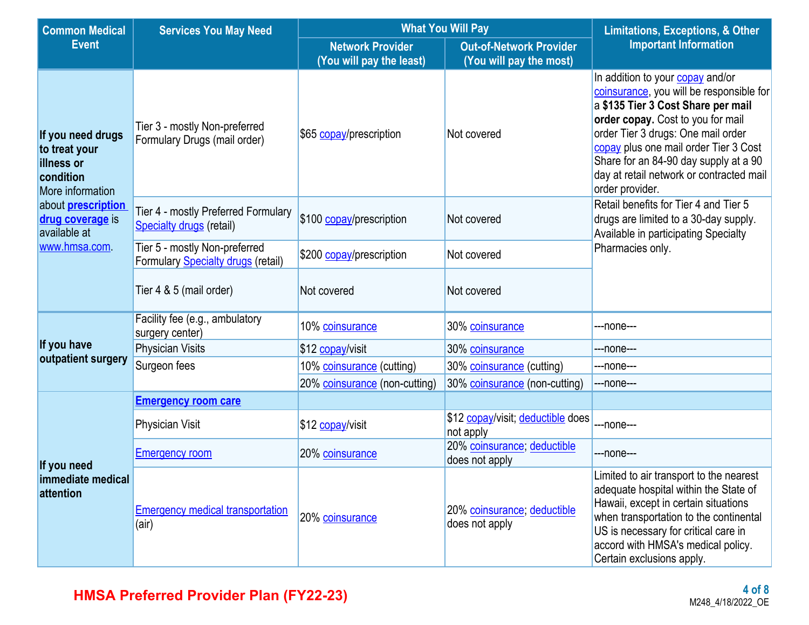| <b>Common Medical</b>                                                             | <b>Services You May Need</b>                                           | <b>What You Will Pay</b>                            | <b>Limitations, Exceptions, &amp; Other</b>               |                                                                                                                                                                                                                                                                                                                                                |  |
|-----------------------------------------------------------------------------------|------------------------------------------------------------------------|-----------------------------------------------------|-----------------------------------------------------------|------------------------------------------------------------------------------------------------------------------------------------------------------------------------------------------------------------------------------------------------------------------------------------------------------------------------------------------------|--|
| <b>Event</b>                                                                      |                                                                        | <b>Network Provider</b><br>(You will pay the least) | <b>Out-of-Network Provider</b><br>(You will pay the most) | <b>Important Information</b>                                                                                                                                                                                                                                                                                                                   |  |
| If you need drugs<br>to treat your<br>illness or<br>condition<br>More information | Tier 3 - mostly Non-preferred<br>Formulary Drugs (mail order)          | \$65 copay/prescription                             | Not covered                                               | In addition to your copay and/or<br>coinsurance, you will be responsible for<br>a \$135 Tier 3 Cost Share per mail<br>order copay. Cost to you for mail<br>order Tier 3 drugs: One mail order<br>copay plus one mail order Tier 3 Cost<br>Share for an 84-90 day supply at a 90<br>day at retail network or contracted mail<br>order provider. |  |
| about <b>prescription</b><br>drug coverage is<br>available at                     | Tier 4 - mostly Preferred Formulary<br><b>Specialty drugs (retail)</b> | \$100 copay/prescription                            | Not covered                                               | Retail benefits for Tier 4 and Tier 5<br>drugs are limited to a 30-day supply.<br>Available in participating Specialty                                                                                                                                                                                                                         |  |
| www.hmsa.com                                                                      | Tier 5 - mostly Non-preferred<br>Formulary Specialty drugs (retail)    | \$200 copay/prescription                            | Not covered                                               | Pharmacies only.                                                                                                                                                                                                                                                                                                                               |  |
|                                                                                   | Tier 4 & 5 (mail order)                                                | Not covered                                         | Not covered                                               |                                                                                                                                                                                                                                                                                                                                                |  |
|                                                                                   | Facility fee (e.g., ambulatory<br>surgery center)                      | 10% coinsurance                                     | 30% coinsurance                                           | ---none---                                                                                                                                                                                                                                                                                                                                     |  |
| If you have                                                                       | <b>Physician Visits</b>                                                | \$12 copay/visit                                    | 30% coinsurance                                           | ---none---                                                                                                                                                                                                                                                                                                                                     |  |
| outpatient surgery                                                                | Surgeon fees                                                           | 10% coinsurance (cutting)                           | 30% coinsurance (cutting)                                 | ---none---                                                                                                                                                                                                                                                                                                                                     |  |
|                                                                                   |                                                                        | 20% coinsurance (non-cutting)                       | 30% coinsurance (non-cutting)                             | ---none---                                                                                                                                                                                                                                                                                                                                     |  |
|                                                                                   | <b>Emergency room care</b>                                             |                                                     |                                                           |                                                                                                                                                                                                                                                                                                                                                |  |
|                                                                                   | <b>Physician Visit</b>                                                 | \$12 copay/visit                                    | \$12 copay/visit; deductible does<br>not apply            | ---none---                                                                                                                                                                                                                                                                                                                                     |  |
| If you need                                                                       | <b>Emergency room</b>                                                  | 20% coinsurance                                     | 20% coinsurance; deductible<br>does not apply             | ---none---                                                                                                                                                                                                                                                                                                                                     |  |
| immediate medical<br>attention                                                    | <b>Emergency medical transportation</b><br>(air)                       | 20% coinsurance                                     | 20% coinsurance; deductible<br>does not apply             | Limited to air transport to the nearest<br>adequate hospital within the State of<br>Hawaii, except in certain situations<br>when transportation to the continental<br>US is necessary for critical care in<br>accord with HMSA's medical policy.<br>Certain exclusions apply.                                                                  |  |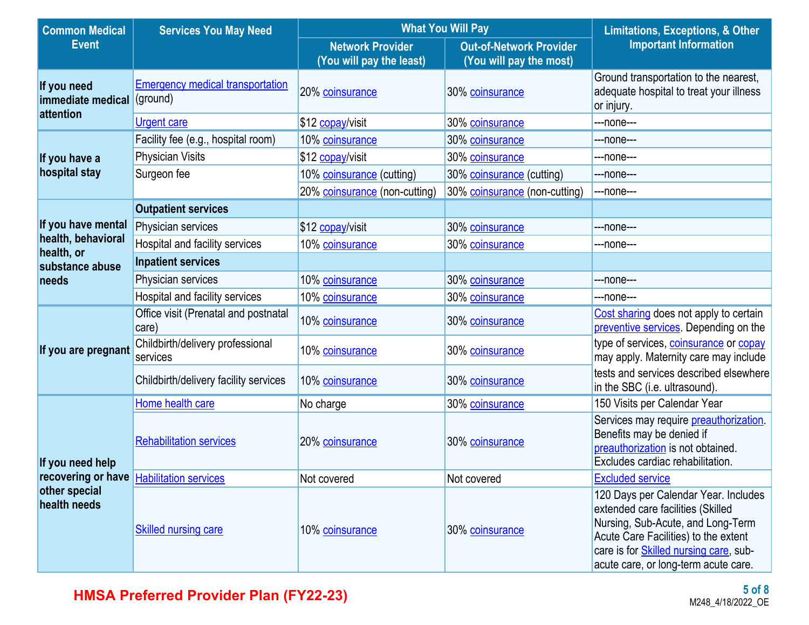| <b>Common Medical</b>            | <b>Services You May Need</b>                        | <b>What You Will Pay</b>                            | <b>Limitations, Exceptions, &amp; Other</b>               |                                                                                                                                                                                                                                                  |  |
|----------------------------------|-----------------------------------------------------|-----------------------------------------------------|-----------------------------------------------------------|--------------------------------------------------------------------------------------------------------------------------------------------------------------------------------------------------------------------------------------------------|--|
| <b>Event</b>                     |                                                     | <b>Network Provider</b><br>(You will pay the least) | <b>Out-of-Network Provider</b><br>(You will pay the most) | <b>Important Information</b>                                                                                                                                                                                                                     |  |
| If you need<br>immediate medical | <b>Emergency medical transportation</b><br>(ground) | 20% coinsurance                                     | 30% coinsurance                                           | Ground transportation to the nearest,<br>adequate hospital to treat your illness<br>or injury.                                                                                                                                                   |  |
| attention                        | Urgent care                                         | \$12 copay/visit                                    | 30% coinsurance                                           | ---none---                                                                                                                                                                                                                                       |  |
|                                  | Facility fee (e.g., hospital room)                  | 10% coinsurance                                     | 30% coinsurance                                           | ---none---                                                                                                                                                                                                                                       |  |
| If you have a                    | <b>Physician Visits</b>                             | \$12 copay/visit                                    | 30% coinsurance                                           | ---none---                                                                                                                                                                                                                                       |  |
| hospital stay                    | Surgeon fee                                         | 10% coinsurance (cutting)                           | 30% coinsurance (cutting)                                 | ---none---                                                                                                                                                                                                                                       |  |
|                                  |                                                     | 20% coinsurance (non-cutting)                       | 30% coinsurance (non-cutting)                             | ---none---                                                                                                                                                                                                                                       |  |
|                                  | <b>Outpatient services</b>                          |                                                     |                                                           |                                                                                                                                                                                                                                                  |  |
| If you have mental               | Physician services                                  | \$12 copay/visit                                    | 30% coinsurance                                           | ---none---                                                                                                                                                                                                                                       |  |
| health, behavioral<br>health, or | Hospital and facility services                      | 10% coinsurance                                     | 30% coinsurance                                           | ---none---                                                                                                                                                                                                                                       |  |
| substance abuse                  | <b>Inpatient services</b>                           |                                                     |                                                           |                                                                                                                                                                                                                                                  |  |
| needs                            | Physician services                                  | 10% coinsurance                                     | 30% coinsurance                                           | ---none---                                                                                                                                                                                                                                       |  |
|                                  | Hospital and facility services                      | 10% coinsurance                                     | 30% coinsurance                                           | ---none---                                                                                                                                                                                                                                       |  |
|                                  | Office visit (Prenatal and postnatal<br>care)       | 10% coinsurance                                     | 30% coinsurance                                           | Cost sharing does not apply to certain<br>preventive services. Depending on the                                                                                                                                                                  |  |
| If you are pregnant              | Childbirth/delivery professional<br>services        | 10% coinsurance                                     | 30% coinsurance                                           | type of services, coinsurance or copay<br>may apply. Maternity care may include                                                                                                                                                                  |  |
|                                  | Childbirth/delivery facility services               | 10% coinsurance                                     | 30% coinsurance                                           | tests and services described elsewhere<br>in the SBC (i.e. ultrasound).                                                                                                                                                                          |  |
|                                  | Home health care                                    | No charge                                           | 30% coinsurance                                           | 150 Visits per Calendar Year                                                                                                                                                                                                                     |  |
| If you need help                 | <b>Rehabilitation services</b>                      | 20% coinsurance                                     | 30% coinsurance                                           | Services may require preauthorization.<br>Benefits may be denied if<br>preauthorization is not obtained.<br>Excludes cardiac rehabilitation.                                                                                                     |  |
|                                  | recovering or have <b>Habilitation services</b>     | Not covered                                         | Not covered                                               | <b>Excluded service</b>                                                                                                                                                                                                                          |  |
| other special<br>health needs    | <b>Skilled nursing care</b>                         | 10% coinsurance                                     | 30% coinsurance                                           | 120 Days per Calendar Year. Includes<br>extended care facilities (Skilled<br>Nursing, Sub-Acute, and Long-Term<br>Acute Care Facilities) to the extent<br>care is for <b>Skilled nursing care</b> , sub-<br>acute care, or long-term acute care. |  |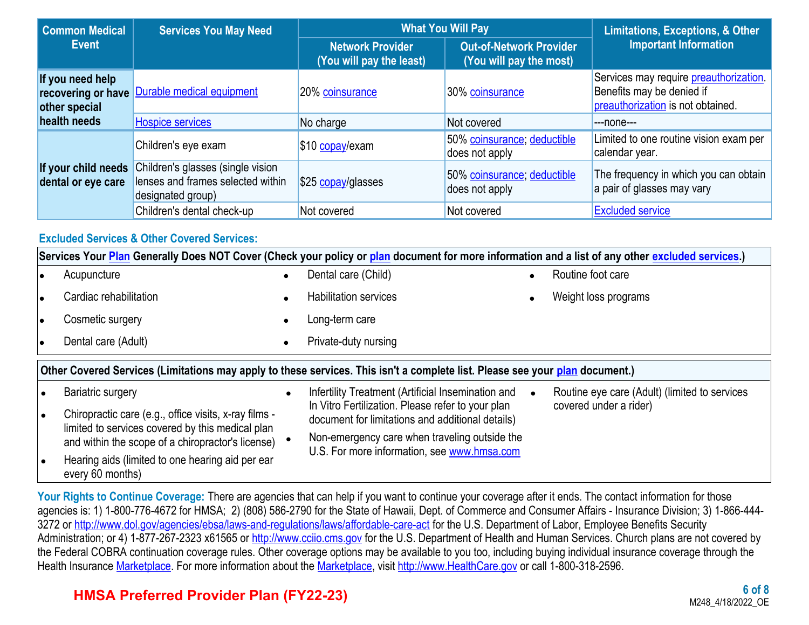| <b>Common Medical</b>                                   | <b>What You Will Pay</b><br><b>Services You May Need</b>                                    |                                                     |                                                           | <b>Limitations, Exceptions, &amp; Other</b>                                                                      |  |
|---------------------------------------------------------|---------------------------------------------------------------------------------------------|-----------------------------------------------------|-----------------------------------------------------------|------------------------------------------------------------------------------------------------------------------|--|
| <b>Event</b>                                            |                                                                                             | <b>Network Provider</b><br>(You will pay the least) | <b>Out-of-Network Provider</b><br>(You will pay the most) | <b>Important Information</b>                                                                                     |  |
| If you need help<br>recovering or have<br>other special | Durable medical equipment                                                                   | 20% coinsurance                                     | 30% coinsurance                                           | Services may require <i>preauthorization</i> .<br>Benefits may be denied if<br>preauthorization is not obtained. |  |
| health needs                                            | <b>Hospice services</b>                                                                     | No charge                                           | Not covered                                               | ---none---                                                                                                       |  |
|                                                         | Children's eye exam                                                                         | \$10 copay/exam                                     | 50% coinsurance; deductible<br>does not apply             | Limited to one routine vision exam per<br>calendar year.                                                         |  |
| If your child needs<br>dental or eye care               | Children's glasses (single vision<br>lenses and frames selected within<br>designated group) | \$25 copay/glasses                                  | 50% coinsurance; deductible<br>does not apply             | The frequency in which you can obtain<br>a pair of glasses may vary                                              |  |
|                                                         | Children's dental check-up                                                                  | Not covered                                         | Not covered                                               | <b>Excluded service</b>                                                                                          |  |

### **Excluded Services & Other Covered Services:**

|                                                                                                                              | Services Your Plan Generally Does NOT Cover (Check your policy or plan document for more information and a list of any other excluded services.) |           |                                                                                                       |  |                                               |  |  |
|------------------------------------------------------------------------------------------------------------------------------|--------------------------------------------------------------------------------------------------------------------------------------------------|-----------|-------------------------------------------------------------------------------------------------------|--|-----------------------------------------------|--|--|
|                                                                                                                              | Acupuncture                                                                                                                                      |           | Dental care (Child)                                                                                   |  | Routine foot care                             |  |  |
|                                                                                                                              | Cardiac rehabilitation                                                                                                                           |           | <b>Habilitation services</b>                                                                          |  | Weight loss programs                          |  |  |
|                                                                                                                              | Cosmetic surgery                                                                                                                                 | $\bullet$ | Long-term care                                                                                        |  |                                               |  |  |
|                                                                                                                              | Dental care (Adult)                                                                                                                              |           | Private-duty nursing                                                                                  |  |                                               |  |  |
| Other Covered Services (Limitations may apply to these services. This isn't a complete list. Please see your plan document.) |                                                                                                                                                  |           |                                                                                                       |  |                                               |  |  |
|                                                                                                                              | <b>Bariatric surgery</b>                                                                                                                         | $\bullet$ | Infertility Treatment (Artificial Insemination and                                                    |  | Routine eye care (Adult) (limited to services |  |  |
|                                                                                                                              | Chiropractic care (e.g., office visits, x-ray films -<br>limited to services covered by this medical plan                                        |           | In Vitro Fertilization. Please refer to your plan<br>document for limitations and additional details) |  | covered under a rider)                        |  |  |
|                                                                                                                              | and within the scope of a chiropractor's license)                                                                                                |           | Non-emergency care when traveling outside the                                                         |  |                                               |  |  |
|                                                                                                                              | Hearing aids (limited to one hearing aid per ear<br>every 60 months)                                                                             |           | U.S. For more information, see www.hmsa.com                                                           |  |                                               |  |  |

Your Rights to Continue Coverage: There are agencies that can help if you want to continue your coverage after it ends. The contact information for those agencies is: 1) 1-800-776-4672 for HMSA; 2) (808) 586-2790 for the State of Hawaii, Dept. of Commerce and Consumer Affairs - Insurance Division; 3) 1-866-444 3272 or <http://www.dol.gov/agencies/ebsa/laws-and-regulations/laws/affordable-care-act>for the U.S. Department of Labor, Employee Benefits Security Administration; or 4) 1-877-267-2323 x61565 or [http://www.cciio.cms.gov](http://www.cciio.cms.gov/) for the U.S. Department of Health and Human Services. Church plans are not covered by the Federal COBRA continuation coverage rules. Other coverage options may be available to you too, including buying individual insurance coverage through the Health Insurance [Marketplace](https://www.healthcare.gov/sbc-glossary/#marketplace). For more information about the [Marketplace](https://www.healthcare.gov/sbc-glossary/#marketplace), visit [http://www.HealthCare.gov](http://www.healthcare.gov/) or call 1-800-318-2596.

# **HMSA Preferred Provider Plan (FY22-23)**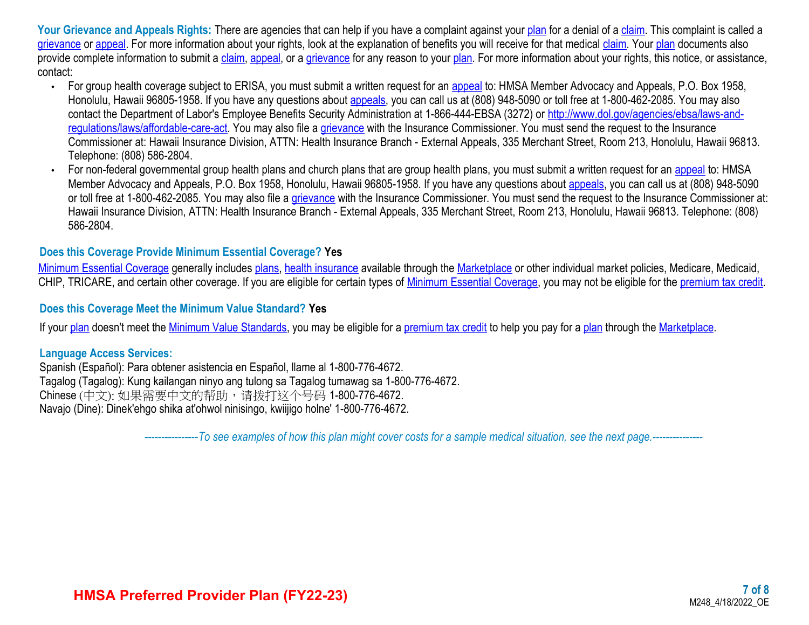Your Grievance and Appeals Rights: There are agencies that can help if you have a complaint against your [plan](https://www.healthcare.gov/sbc-glossary/#plan) for a denial of a [claim](https://www.healthcare.gov/sbc-glossary/#claim). This complaint is called a [grievance](https://www.healthcare.gov/sbc-glossary/#grievance) or [appeal](https://www.healthcare.gov/sbc-glossary/#appeal). For more information about your rights, look at the explanation of benefits you will receive for that medical [claim](https://www.healthcare.gov/sbc-glossary/#claim). Your [plan](https://www.healthcare.gov/sbc-glossary/#plan) documents also provide complete information to submit a [claim,](https://www.healthcare.gov/sbc-glossary/#claim) [appeal,](https://www.healthcare.gov/sbc-glossary/#appeal) or a [grievance](https://www.healthcare.gov/sbc-glossary/#grievance) for any reason to your [plan](https://www.healthcare.gov/sbc-glossary/#plan). For more information about your rights, this notice, or assistance, contact:

- For group health coverage subject to ERISA, you must submit a written request for an [appeal](https://www.healthcare.gov/sbc-glossary/#appeal) to: HMSA Member Advocacy and Appeals, P.O. Box 1958, Honolulu, Hawaii 96805-1958. If you have any questions about **[appeals](https://www.healthcare.gov/sbc-glossary/#appeal)**, you can call us at (808) 948-5090 or toll free at 1-800-462-2085. You may also contact the Department of Labor's Employee Benefits Security Administration at 1-866-444-EBSA (3272) or [http://www.dol.gov/agencies/ebsa/laws-and](http://www.dol.gov/agencies/ebsa/laws-and-regulations/laws/affordable-care-act)[regulations/laws/affordable-care-act.](http://www.dol.gov/agencies/ebsa/laws-and-regulations/laws/affordable-care-act) You may also file a [grievance](https://www.healthcare.gov/sbc-glossary/#grievance) with the Insurance Commissioner. You must send the request to the Insurance Commissioner at: Hawaii Insurance Division, ATTN: Health Insurance Branch - External Appeals, 335 Merchant Street, Room 213, Honolulu, Hawaii 96813. Telephone: (808) 586-2804.
- For non-federal governmental group health plans and church plans that are group health plans, you must submit a written request for an [appeal](https://www.healthcare.gov/sbc-glossary/#appeal) to: HMSA Member Advocacy and Appeals, P.O. Box 1958, Honolulu, Hawaii 96805-1958. If you have any questions about [appeals](https://www.healthcare.gov/sbc-glossary/#appeal), you can call us at (808) 948-5090 or toll free at 1-800-462-2085. You may also file a [grievance](https://www.healthcare.gov/sbc-glossary/#grievance) with the Insurance Commissioner. You must send the request to the Insurance Commissioner at: Hawaii Insurance Division, ATTN: Health Insurance Branch - External Appeals, 335 Merchant Street, Room 213, Honolulu, Hawaii 96813. Telephone: (808) 586-2804.

### **Does this Coverage Provide Minimum Essential Coverage? Yes**

[Minimum Essential Coverage](https://www.healthcare.gov/sbc-glossary/#minimum-essential-coverage) generally includes [plans](https://www.healthcare.gov/sbc-glossary/#plan), [health insurance](https://www.healthcare.gov/sbc-glossary/#health-insurance) available through the [Marketplace](https://www.healthcare.gov/sbc-glossary/#marketplace) or other individual market policies, Medicare, Medicaid, CHIP, TRICARE, and certain other coverage. If you are eligible for certain types of [Minimum Essential Coverage](https://www.healthcare.gov/sbc-glossary/#minimum-essential-coverage), you may not be eligible for the [premium tax credit.](https://www.healthcare.gov/sbc-glossary/#premium-tax-credits)

#### **Does this Coverage Meet the Minimum Value Standard? Yes**

If your [plan](https://www.healthcare.gov/sbc-glossary/#plan) doesn't meet the [Minimum Value Standards,](https://www.healthcare.gov/sbc-glossary/#minimum-value-standard) you may be eligible for a [premium tax credit](https://www.healthcare.gov/sbc-glossary/#premium-tax-credits) to help you pay for a [plan](https://www.healthcare.gov/sbc-glossary/#plan) through the [Marketplace.](https://www.healthcare.gov/sbc-glossary/#marketplace)

#### **Language Access Services:**

Spanish (Español): Para obtener asistencia en Español, llame al 1-800-776-4672. Tagalog (Tagalog): Kung kailangan ninyo ang tulong sa Tagalog tumawag sa 1-800-776-4672. Chinese (中文): 如果需要中文的帮助,请拨打这个号码 1-800-776-4672. Navajo (Dine): Dinek'ehgo shika at'ohwol ninisingo, kwiijigo holne' 1-800-776-4672.

----------------*To see examples of how this plan might cover costs for a sample medical situation, see the next page.-----------*----